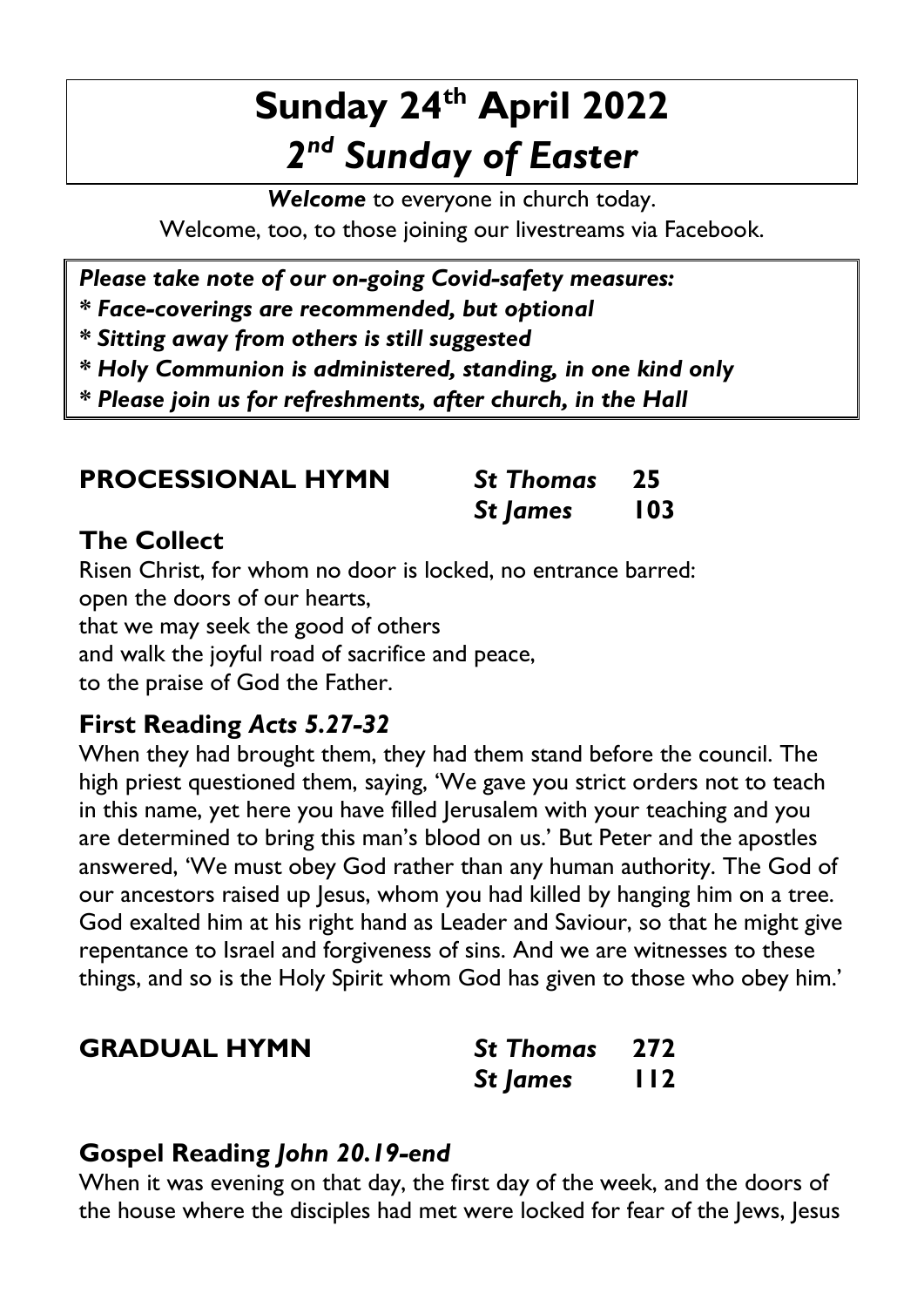## **Sunday 24th April 2022** *2 nd Sunday of Easter*

*Welcome* to everyone in church today. Welcome, too, to those joining our livestreams via Facebook.

*Please take note of our on-going Covid-safety measures:*

*\* Face-coverings are recommended, but optional*

*\* Sitting away from others is still suggested*

*\* Holy Communion is administered, standing, in one kind only*

*\* Please join us for refreshments, after church, in the Hall*

| <b>PROCESSIONAL HYMN</b> | <b>St Thomas</b> 25 |            |
|--------------------------|---------------------|------------|
|                          | St James            | <b>103</b> |

#### **The Collect**

Risen Christ, for whom no door is locked, no entrance barred: open the doors of our hearts, that we may seek the good of others and walk the joyful road of sacrifice and peace, to the praise of God the Father.

### **First Reading** *Acts 5.27-32*

When they had brought them, they had them stand before the council. The high priest questioned them, saying, 'We gave you strict orders not to teach in this name, yet here you have filled Jerusalem with your teaching and you are determined to bring this man's blood on us.' But Peter and the apostles answered, 'We must obey God rather than any human authority. The God of our ancestors raised up Jesus, whom you had killed by hanging him on a tree. God exalted him at his right hand as Leader and Saviour, so that he might give repentance to Israel and forgiveness of sins. And we are witnesses to these things, and so is the Holy Spirit whom God has given to those who obey him.'

| <b>GRADUAL HYMN</b> | 272<br><b>St Thomas</b> |
|---------------------|-------------------------|
|---------------------|-------------------------|

| <b>St Thomas</b> | 272   |
|------------------|-------|
| <b>St James</b>  | I I 2 |

#### **Gospel Reading** *John 20.19-end*

When it was evening on that day, the first day of the week, and the doors of the house where the disciples had met were locked for fear of the Jews, Jesus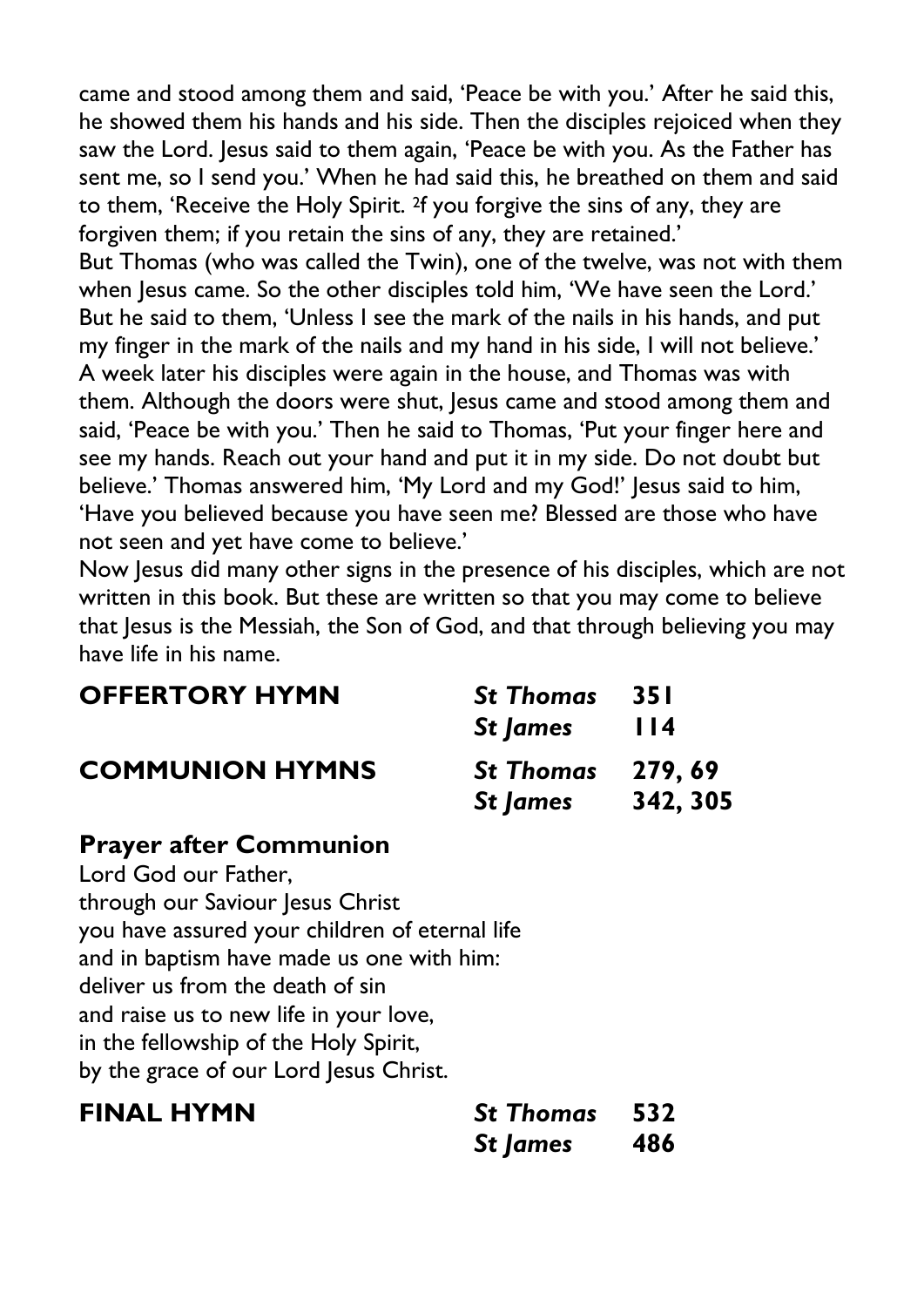came and stood among them and said, 'Peace be with you.' After he said this, he showed them his hands and his side. Then the disciples rejoiced when they saw the Lord. Jesus said to them again, 'Peace be with you. As the Father has sent me, so I send you.' When he had said this, he breathed on them and said to them, 'Receive the Holy Spirit. 2f you forgive the sins of any, they are forgiven them; if you retain the sins of any, they are retained.'

But Thomas (who was called the Twin), one of the twelve, was not with them when Jesus came. So the other disciples told him, 'We have seen the Lord.' But he said to them, 'Unless I see the mark of the nails in his hands, and put my finger in the mark of the nails and my hand in his side, I will not believe.' A week later his disciples were again in the house, and Thomas was with them. Although the doors were shut, Jesus came and stood among them and said, 'Peace be with you.' Then he said to Thomas, 'Put your finger here and see my hands. Reach out your hand and put it in my side. Do not doubt but believe.' Thomas answered him, 'My Lord and my God!' Jesus said to him, 'Have you believed because you have seen me? Blessed are those who have not seen and yet have come to believe.'

Now Jesus did many other signs in the presence of his disciples, which are not written in this book. But these are written so that you may come to believe that Jesus is the Messiah, the Son of God, and that through believing you may have life in his name.

| <b>OFFERTORY HYMN</b>  | <b>St Thomas</b><br><b>St James</b> | -35 I<br>114       |
|------------------------|-------------------------------------|--------------------|
| <b>COMMUNION HYMNS</b> | <b>St Thomas</b><br>St James        | 279,69<br>342, 305 |

#### **Prayer after Communion**

Lord God our Father, through our Saviour Jesus Christ you have assured your children of eternal life and in baptism have made us one with him: deliver us from the death of sin and raise us to new life in your love, in the fellowship of the Holy Spirit, by the grace of our Lord Jesus Christ.

| <b>FINAL HYMN</b> | <b>St Thomas</b> 532 |     |
|-------------------|----------------------|-----|
|                   | St James             | 486 |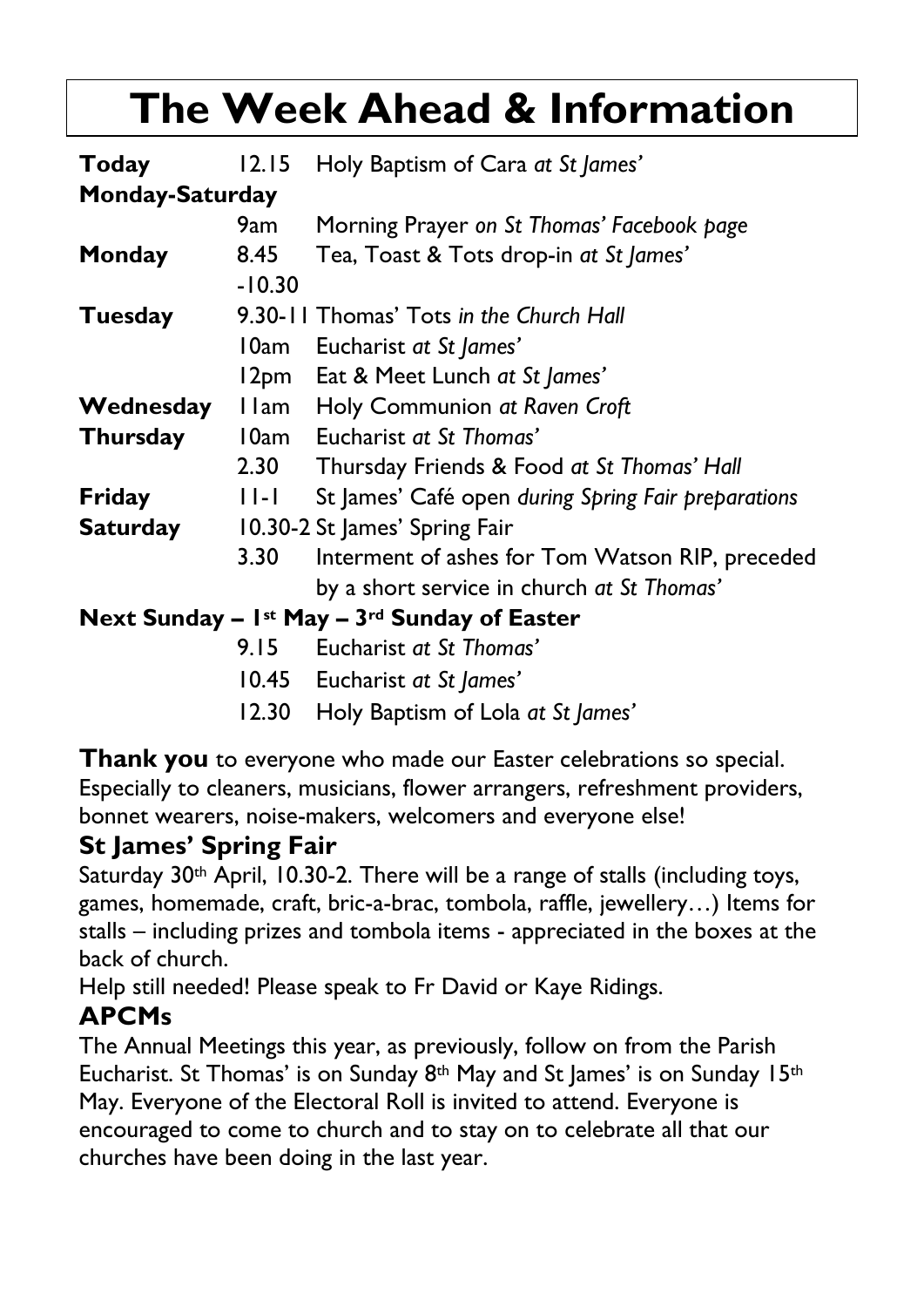# **The Week Ahead & Information**

| Today                  | 12.15                         | Holy Baptism of Cara at St James'                   |
|------------------------|-------------------------------|-----------------------------------------------------|
| <b>Monday-Saturday</b> |                               |                                                     |
|                        | 9am                           | Morning Prayer on St Thomas' Facebook page          |
| Monday                 | 8.45                          | Tea, Toast & Tots drop-in at St James'              |
|                        | $-10.30$                      |                                                     |
| Tuesday                |                               | 9.30-11 Thomas' Tots in the Church Hall             |
|                        | 10am                          | Eucharist at St James'                              |
|                        | 12pm                          | Eat & Meet Lunch at St James'                       |
| Wednesday              | l I am                        | Holy Communion at Raven Croft                       |
| <b>Thursday</b>        | 10am                          | Eucharist at St Thomas'                             |
|                        | 2.30                          | Thursday Friends & Food at St Thomas' Hall          |
| Friday                 | $ 1 - 1 $                     | St James' Café open during Spring Fair preparations |
| <b>Saturday</b>        | 10.30-2 St James' Spring Fair |                                                     |
|                        | 3.30                          | Interment of ashes for Tom Watson RIP, preceded     |
|                        |                               | by a short service in church at St Thomas'          |
|                        |                               | Next Sunday $-$ 1st May $-$ 3rd Sunday of Easter    |
|                        | 9.15                          | Eucharist at St Thomas'                             |
|                        |                               | 10.45 Eucharist at St James'                        |
|                        | 12.30                         | Holy Baptism of Lola at St James'                   |

**Thank you** to everyone who made our Easter celebrations so special. Especially to cleaners, musicians, flower arrangers, refreshment providers, bonnet wearers, noise-makers, welcomers and everyone else!

#### **St James' Spring Fair**

Saturday 30<sup>th</sup> April, 10.30-2. There will be a range of stalls (including toys, games, homemade, craft, bric-a-brac, tombola, raffle, jewellery…) Items for stalls – including prizes and tombola items - appreciated in the boxes at the back of church.

Help still needed! Please speak to Fr David or Kaye Ridings.

### **APCMs**

The Annual Meetings this year, as previously, follow on from the Parish Eucharist. St Thomas' is on Sunday 8<sup>th</sup> May and St James' is on Sunday 15<sup>th</sup> May. Everyone of the Electoral Roll is invited to attend. Everyone is encouraged to come to church and to stay on to celebrate all that our churches have been doing in the last year.